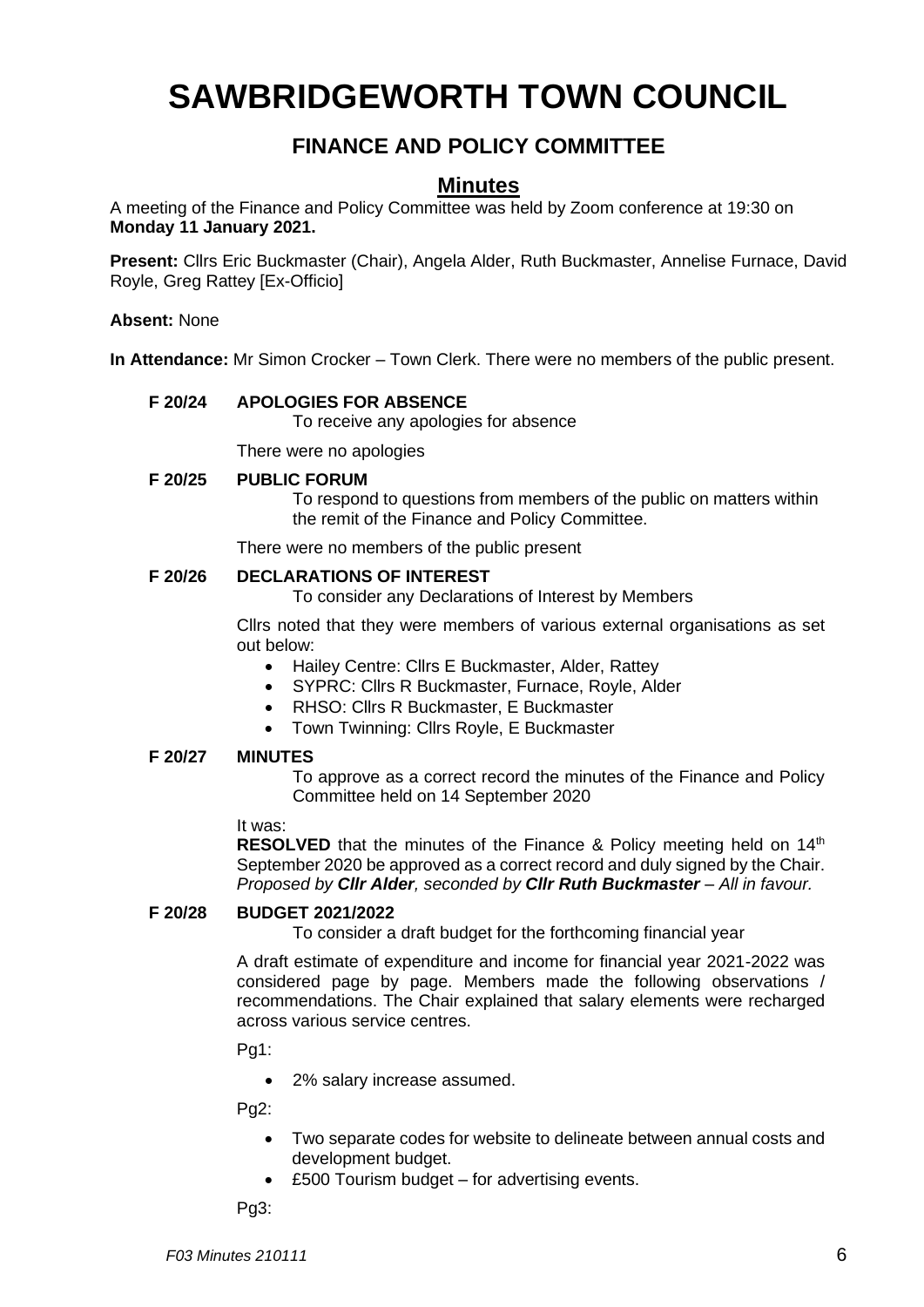# **SAWBRIDGEWORTH TOWN COUNCIL**

## **FINANCE AND POLICY COMMITTEE**

## **Minutes**

A meeting of the Finance and Policy Committee was held by Zoom conference at 19:30 on **Monday 11 January 2021.**

**Present:** Cllrs Eric Buckmaster (Chair), Angela Alder, Ruth Buckmaster, Annelise Furnace, David Royle, Greg Rattey [Ex-Officio]

**Absent:** None

**In Attendance:** Mr Simon Crocker – Town Clerk. There were no members of the public present.

#### **F 20/24 APOLOGIES FOR ABSENCE**

To receive any apologies for absence

There were no apologies

#### **F 20/25 PUBLIC FORUM**

To respond to questions from members of the public on matters within the remit of the Finance and Policy Committee.

There were no members of the public present

#### **F 20/26 DECLARATIONS OF INTEREST**

To consider any Declarations of Interest by Members

Cllrs noted that they were members of various external organisations as set out below:

- Hailey Centre: Cllrs E Buckmaster, Alder, Rattey
- SYPRC: Cllrs R Buckmaster, Furnace, Royle, Alder
- RHSO: Cllrs R Buckmaster, E Buckmaster
- Town Twinning: Cllrs Royle, E Buckmaster

#### **F 20/27 MINUTES**

To approve as a correct record the minutes of the Finance and Policy Committee held on 14 September 2020

#### It was:

**RESOLVED** that the minutes of the Finance & Policy meeting held on 14<sup>th</sup> September 2020 be approved as a correct record and duly signed by the Chair. *Proposed by Cllr Alder, seconded by Cllr Ruth Buckmaster – All in favour.*

#### **F 20/28 BUDGET 2021/2022**

To consider a draft budget for the forthcoming financial year

A draft estimate of expenditure and income for financial year 2021-2022 was considered page by page. Members made the following observations / recommendations. The Chair explained that salary elements were recharged across various service centres.

Pg1:

• 2% salary increase assumed.

Pg2:

- Two separate codes for website to delineate between annual costs and development budget.
- £500 Tourism budget for advertising events.

Pg3: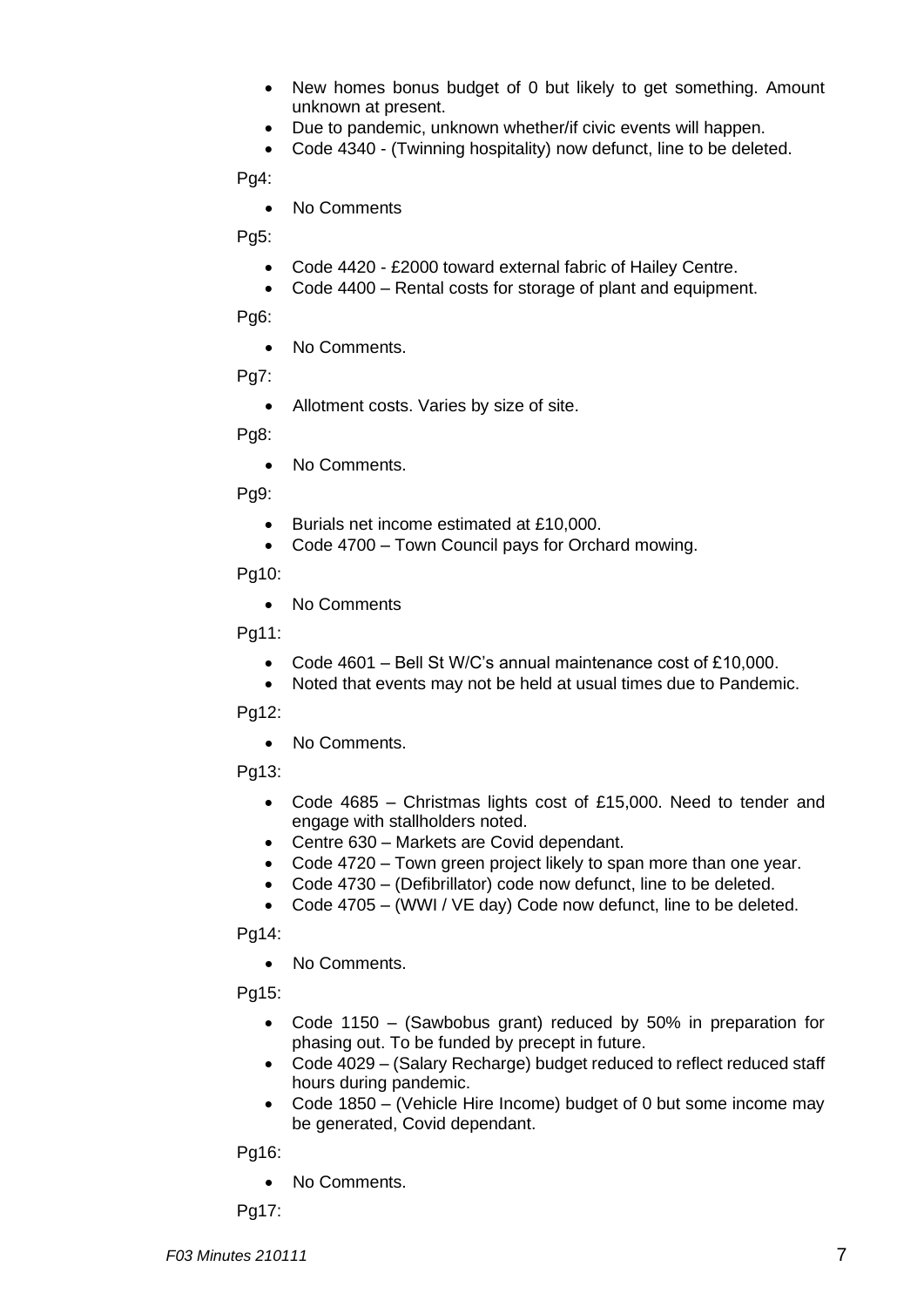- New homes bonus budget of 0 but likely to get something. Amount unknown at present.
- Due to pandemic, unknown whether/if civic events will happen.
- Code 4340 (Twinning hospitality) now defunct, line to be deleted.

Pg4:

• No Comments

Pg5:

- Code 4420 £2000 toward external fabric of Hailey Centre.
- Code 4400 Rental costs for storage of plant and equipment.

Pg<sub>6</sub>:

• No Comments.

Pg7:

• Allotment costs. Varies by size of site.

Pg8:

• No Comments.

Pg9:

- Burials net income estimated at £10,000.
- Code 4700 Town Council pays for Orchard mowing.

Pg10:

• No Comments

Pg11:

- Code 4601 Bell St W/C's annual maintenance cost of £10,000.
- Noted that events may not be held at usual times due to Pandemic.

Pg12:

• No Comments.

Pg13:

- Code 4685 Christmas lights cost of £15,000. Need to tender and engage with stallholders noted.
- Centre 630 Markets are Covid dependant.
- Code 4720 Town green project likely to span more than one year.
- Code 4730 (Defibrillator) code now defunct, line to be deleted.
- Code 4705 (WWI / VE day) Code now defunct, line to be deleted.

Pg14:

• No Comments.

Pg15:

- Code 1150 (Sawbobus grant) reduced by 50% in preparation for phasing out. To be funded by precept in future.
- Code 4029 (Salary Recharge) budget reduced to reflect reduced staff hours during pandemic.
- Code 1850 (Vehicle Hire Income) budget of 0 but some income may be generated, Covid dependant.

Pg16:

• No Comments.

Pg17: